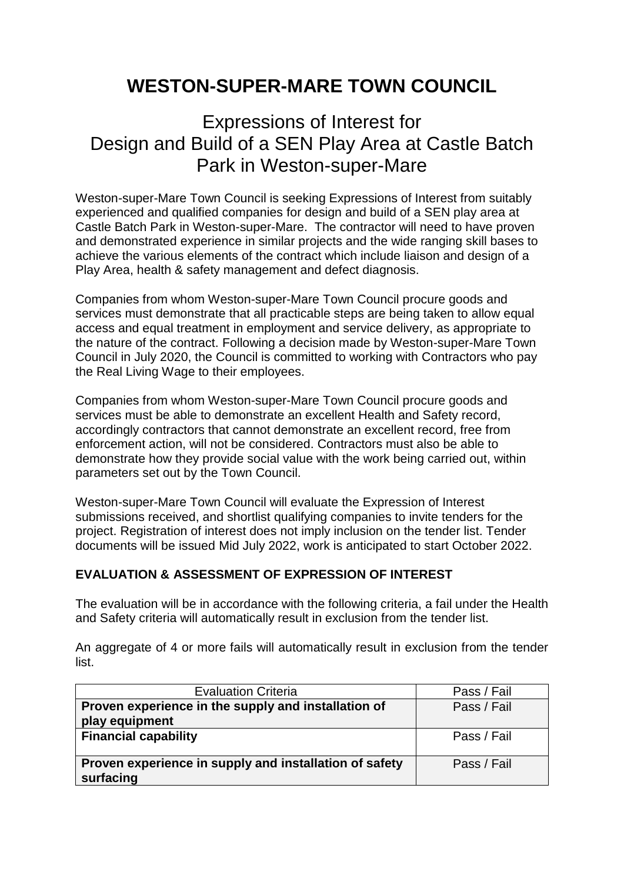## **WESTON-SUPER-MARE TOWN COUNCIL**

## Expressions of Interest for Design and Build of a SEN Play Area at Castle Batch Park in Weston-super-Mare

Weston-super-Mare Town Council is seeking Expressions of Interest from suitably experienced and qualified companies for design and build of a SEN play area at Castle Batch Park in Weston-super-Mare. The contractor will need to have proven and demonstrated experience in similar projects and the wide ranging skill bases to achieve the various elements of the contract which include liaison and design of a Play Area, health & safety management and defect diagnosis.

Companies from whom Weston-super-Mare Town Council procure goods and services must demonstrate that all practicable steps are being taken to allow equal access and equal treatment in employment and service delivery, as appropriate to the nature of the contract. Following a decision made by Weston-super-Mare Town Council in July 2020, the Council is committed to working with Contractors who pay the Real Living Wage to their employees.

Companies from whom Weston-super-Mare Town Council procure goods and services must be able to demonstrate an excellent Health and Safety record, accordingly contractors that cannot demonstrate an excellent record, free from enforcement action, will not be considered. Contractors must also be able to demonstrate how they provide social value with the work being carried out, within parameters set out by the Town Council.

Weston-super-Mare Town Council will evaluate the Expression of Interest submissions received, and shortlist qualifying companies to invite tenders for the project. Registration of interest does not imply inclusion on the tender list. Tender documents will be issued Mid July 2022, work is anticipated to start October 2022.

## **EVALUATION & ASSESSMENT OF EXPRESSION OF INTEREST**

The evaluation will be in accordance with the following criteria, a fail under the Health and Safety criteria will automatically result in exclusion from the tender list.

An aggregate of 4 or more fails will automatically result in exclusion from the tender list.

| <b>Evaluation Criteria</b>                                          | Pass / Fail |
|---------------------------------------------------------------------|-------------|
| Proven experience in the supply and installation of                 | Pass / Fail |
| play equipment                                                      |             |
| <b>Financial capability</b>                                         | Pass / Fail |
| Proven experience in supply and installation of safety<br>surfacing | Pass / Fail |